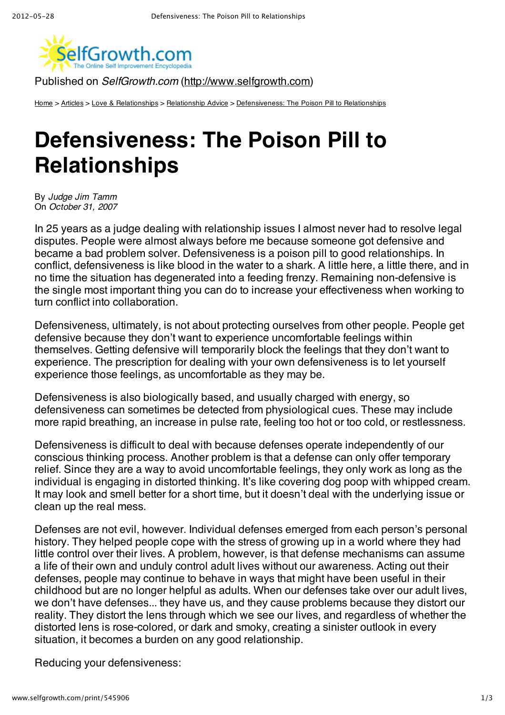

Published on *SelfGrowth.com* (http://www.selfgrowth.com)

Home > Articles > Love & Relationships > Relationship Advice > Defensiveness: The Poison Pill to Relationships

## **Defensiveness: The Poison Pill to Relationships**

By *Judge Jim Tamm* On *October 31, 2007*

In 25 years as a judge dealing with relationship issues I almost never had to resolve legal disputes. People were almost always before me because someone got defensive and became a bad problem solver. Defensiveness is a poison pill to good relationships. In conflict, defensiveness is like blood in the water to a shark. A little here, a little there, and in no time the situation has degenerated into a feeding frenzy. Remaining non-defensive is the single most important thing you can do to increase your effectiveness when working to turn conflict into collaboration.

Defensiveness, ultimately, is not about protecting ourselves from other people. People get defensive because they don't want to experience uncomfortable feelings within themselves. Getting defensive will temporarily block the feelings that they don't want to experience. The prescription for dealing with your own defensiveness is to let yourself experience those feelings, as uncomfortable as they may be.

Defensiveness is also biologically based, and usually charged with energy, so defensiveness can sometimes be detected from physiological cues. These may include more rapid breathing, an increase in pulse rate, feeling too hot or too cold, or restlessness.

Defensiveness is difficult to deal with because defenses operate independently of our conscious thinking process. Another problem is that a defense can only offer temporary relief. Since they are a way to avoid uncomfortable feelings, they only work as long as the individual is engaging in distorted thinking. It's like covering dog poop with whipped cream. It may look and smell better for a short time, but it doesn't deal with the underlying issue or clean up the real mess.

Defenses are not evil, however. Individual defenses emerged from each person's personal history. They helped people cope with the stress of growing up in a world where they had little control over their lives. A problem, however, is that defense mechanisms can assume a life of their own and unduly control adult lives without our awareness. Acting out their defenses, people may continue to behave in ways that might have been useful in their childhood but are no longer helpful as adults. When our defenses take over our adult lives, we don't have defenses... they have us, and they cause problems because they distort our reality. They distort the lens through which we see our lives, and regardless of whether the distorted lens is rose-colored, or dark and smoky, creating a sinister outlook in every situation, it becomes a burden on any good relationship.

Reducing your defensiveness: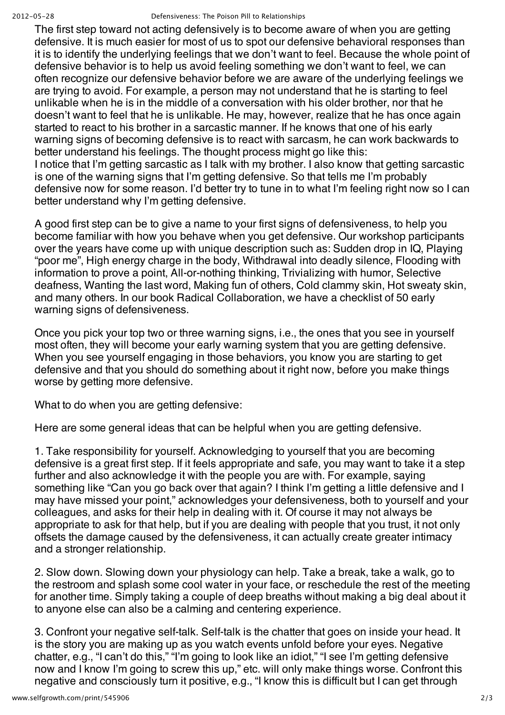## 2012-05-28 Defensiveness: The Poison Pill to Relationships

The first step toward not acting defensively is to become aware of when you are getting defensive. It is much easier for most of us to spot our defensive behavioral responses than it is to identify the underlying feelings that we don't want to feel. Because the whole point of defensive behavior is to help us avoid feeling something we don't want to feel, we can often recognize our defensive behavior before we are aware of the underlying feelings we are trying to avoid. For example, a person may not understand that he is starting to feel unlikable when he is in the middle of a conversation with his older brother, nor that he doesn't want to feel that he is unlikable. He may, however, realize that he has once again started to react to his brother in a sarcastic manner. If he knows that one of his early warning signs of becoming defensive is to react with sarcasm, he can work backwards to better understand his feelings. The thought process might go like this: I notice that I'm getting sarcastic as I talk with my brother. I also know that getting sarcastic is one of the warning signs that I'm getting defensive. So that tells me I'm probably defensive now for some reason. I'd better try to tune in to what I'm feeling right now so I can better understand why I'm getting defensive.

A good first step can be to give a name to your first signs of defensiveness, to help you become familiar with how you behave when you get defensive. Our workshop participants over the years have come up with unique description such as: Sudden drop in IQ, Playing "poor me", High energy charge in the body, Withdrawal into deadly silence, Flooding with information to prove a point, All-or-nothing thinking, Trivializing with humor, Selective deafness, Wanting the last word, Making fun of others, Cold clammy skin, Hot sweaty skin, and many others. In our book Radical Collaboration, we have a checklist of 50 early warning signs of defensiveness.

Once you pick your top two or three warning signs, i.e., the ones that you see in yourself most often, they will become your early warning system that you are getting defensive. When you see yourself engaging in those behaviors, you know you are starting to get defensive and that you should do something about it right now, before you make things worse by getting more defensive.

What to do when you are getting defensive:

Here are some general ideas that can be helpful when you are getting defensive.

1. Take responsibility for yourself. Acknowledging to yourself that you are becoming defensive is a great first step. If it feels appropriate and safe, you may want to take it a step further and also acknowledge it with the people you are with. For example, saying something like "Can you go back over that again? I think I'm getting a little defensive and I may have missed your point," acknowledges your defensiveness, both to yourself and your colleagues, and asks for their help in dealing with it. Of course it may not always be appropriate to ask for that help, but if you are dealing with people that you trust, it not only offsets the damage caused by the defensiveness, it can actually create greater intimacy and a stronger relationship.

2. Slow down. Slowing down your physiology can help. Take a break, take a walk, go to the restroom and splash some cool water in your face, or reschedule the rest of the meeting for another time. Simply taking a couple of deep breaths without making a big deal about it to anyone else can also be a calming and centering experience.

3. Confront your negative self-talk. Self-talk is the chatter that goes on inside your head. It is the story you are making up as you watch events unfold before your eyes. Negative chatter, e.g., "I can't do this," "I'm going to look like an idiot," "I see I'm getting defensive now and I know I'm going to screw this up," etc. will only make things worse. Confront this negative and consciously turn it positive, e.g., "I know this is difficult but I can get through